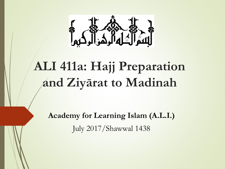

# **ALI 411a: Hajj Preparation and Ziyārat to Madinah**

**Academy for Learning Islam (A.L.I.)** July 2017/Shawwal 1438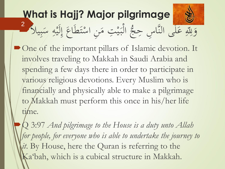

One of the important pillars of Islamic devotion. It involves traveling to Makkah in Saudi Arabia and spending a few days there in order to participate in various religious devotions. Every Muslim who is financially and physically able to make a pilgrimage to Makkah must perform this once in his/her life time.

Q 3:97 *And pilgrimage to the House is a duty unto Allah for people, for everyone who is able to undertake the journey to*  it. By House, here the Quran is referring to the Ka'bah, which is a cubical structure in Makkah.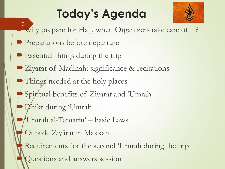# **Today's Agenda**



- Why prepare for Hajj, when Organizers take care of it? 3
- **Preparations before departure**
- Essential things during the trip
- Ziyārat of Madinah: significance & recitations
- Things needed at the holy places
- Spiritual benefits of Ziyārat and 'Umrah
- Dhikr during 'Umrah
- 'Umrah al-Tamattu' basic Laws
- Outside Ziyārat in Makkah
- Requirements for the second 'Umrah during the trip Questions and answers session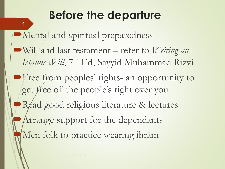# **Before the departure**

Mental and spiritual preparedness Will and last testament – refer to *Writing an*  Islamic Will, 7<sup>th</sup> Ed, Sayyid Muhammad Rizvi **Free from peoples' rights- an opportunity to** get free of the people's right over you Read good religious literature & lectures Arrange support for the dependants Men folk to practice wearing ihrām

4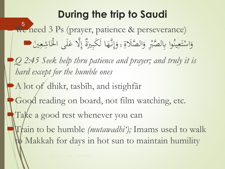### **During the trip to Saudi**

We need 3 Ps (prayer, patience & perseverance) وَاسْتَعِينُوا بِالصَّبْرِ وَالصَّلَاةِ ، وَإِنَّهَا لَكَبِيرَةٌ إِلَّا عَلَى الْخَاشِعِينَ .  $\int_{S}$  $\frac{1}{2}$ َ  $\ddot{\phantom{a}}$ َ ْ .<br>م  $\ddot{\lambda}$  $\frac{1}{2}$ ْ َ  $\ddot{\phantom{0}}$ .<br>ج إِلَّا عَلَى الْخَ <u>ُلُا</u><br>ا  $\frac{1}{2}$ ا<br>ا  $\frac{1}{2}$ ٌ ة ّري َ َكب ا ل  $\frac{1}{2}$ 5

*Q 2:45 Seek help thru patience and prayer; and truly it is hard except for the humble ones*

A lot of dhikr, tasbīh, and istighfār

Good reading on board, not film watching, etc.

Take a good rest whenever you can

Train to be humble *(mutawadhi');* Imams used to walk Makkah for days in hot sun to maintain humility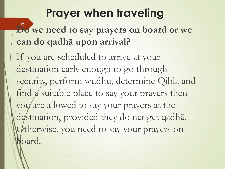## **Prayer when traveling**

**Do we need to say prayers on board or we can do qadhā upon arrival?** 6

If you are scheduled to arrive at your destination early enough to go through security, perform wudhu, determine Qibla and find a suitable place to say your prayers then you are allowed to say your prayers at the destination, provided they do net get qadhā. Otherwise, you need to say your prayers on board.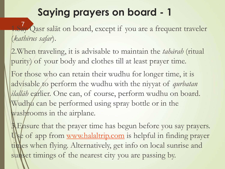1.Say Qasr salāt on board, except if you are a frequent traveler (*kathīrus safar*). 7

2.When traveling, it is advisable to maintain the *tahārah* (ritual purity) of your body and clothes till at least prayer time.

For those who can retain their wudhu for longer time, it is advisable to perform the wudhu with the niyyat of *qurbatan*  ilallāh earlier. One can, of course, perform wudhu on board. Wudhu can be performed using spray bottle or in the wash rooms in the airplane.

**A Ensure that the prayer time has begun before you say prayers.** Use of app from [www.halaltrip.com](http://www.halaltrip.com/) is helpful in finding prayer times when flying. Alternatively, get info on local sunrise and sunset timings of the nearest city you are passing by.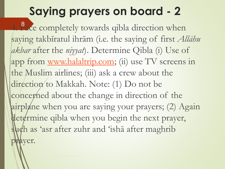4. Pace completely towards qibla direction when saying takbīratul ihrām (i.e. the saying of first *Allāhu akbar* after the *niyyat*). Determine Qibla (i) Use of app from [www.halaltrip.com;](http://www.halaltrip.com/) (ii) use TV screens in the Muslim airlines; (iii) ask a crew about the direction to Makkah. Note: (1) Do not be concerned about the change in direction of the airplane when you are saying your prayers; (2) Again determine qibla when you begin the next prayer, such as 'asr after zuhr and 'isha after maghrib prayer.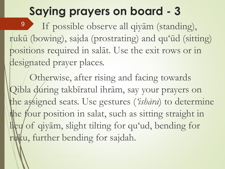If possible observe all qiyām (standing), rukū (bowing), sajda (prostrating) and qu'ūd (sitting) positions required in salāt. Use the exit rows or in designated prayer places. 9

Otherwise, after rising and facing towards Qibla during takbīratul ihrām, say your prayers on the assigned seats. Use gestures (*'ishāra*) to determine the four position in salat, such as sitting straight in lieu of qiyām, slight tilting for qu'ud, bending for ruku, further bending for sajdah.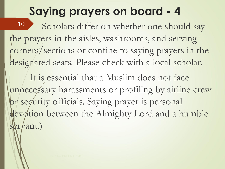Scholars differ on whether one should say the prayers in the aisles, washrooms, and serving corners/sections or confine to saying prayers in the designated seats. Please check with a local scholar. It is essential that a Muslim does not face unnecessary harassments or profiling by airline crew pr security officials. Saying prayer is personal 10

devotion between the Almighty Lord and a humble servant.)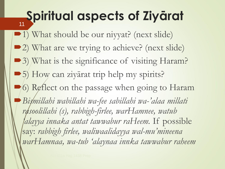# **Spiritual aspects of Ziyārat**

1) What should be our nivyat? (next slide) 2) What are we trying to achieve? (next slide) • 3) What is the significance of visiting Haram? 5) How can ziyārat trip help my spirits? •6) Reflect on the passage when going to Haram *Bismillahi wabillahi wa-fee sabillahi wa-'alaa millati rasoolillahi (s), rabbigh-firlee, warHamnee, watub 'alayya innaka antat tawwabur raHeem.* If possible say: *rabbigh firlee, waliwaalidayya wal-mu'mineena warHamnaa, wa-tub 'alaynaa innka tawwabur raheem*

11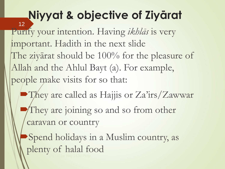# **Niyyat & objective of Ziyārat**

Purify your intention. Having *ikhlās* is very important. Hadith in the next slide The zivārat should be 100% for the pleasure of Allah and the Ahlul Bayt (a). For example, people make visits for so that: 12

• They are called as Hajjis or Za'irs/Zawwar They are joining so and so from other caravan or country

Spend holidays in a Muslim country, as plenty of halal food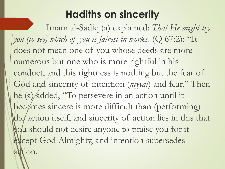### **Hadiths on sincerity**

Imam al-Sadiq (a) explained: *That He might try you (to see) which of you is fairest in works*. (Q 67:2): "It does not mean one of you whose deeds are more numerous but one who is more rightful in his conduct, and this rightness is nothing but the fear of God and sincerity of intention (*niyyat*) and fear." Then he (a) added, "To persevere in an action until it becomes sincere is more difficult than (performing) the action itself, and sincerity of action lies in this that you should not desire anyone to praise you for it except God Almighty, and intention supersedes action. 13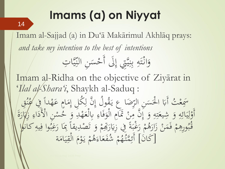# **Imams (a) on Niyyat**

14

Imam al-Sajjad (a) in Du'ā Makārimul Akhlāq prays: *and take my intention to the best of intentions*

> تبديد<br>منذ يكا<br>ج س<br>م وَانْتَهِ بِنِيَّتِي إِلَى أَحْسَنِ النِّيَّاتِ <u>ل</u>  $\overline{\phantom{a}}$ ا<br>ا ل<br>ا  $\int\limits_{\mathcal{L}}$ يك<br>ج .<br>.<br>. .<br>.<br>.<br>. ر<br>بر ب  $\overline{4}$  $\frac{1}{2}$  $\frac{1}{2}$ ز<br>ا َ <u>با</u><br>ا

Imam al-Ridha on the objective of Ziyārat in '*Ilal al-Shara'i*, Shaykh al-Saduq :

ثُ أَبَا الْحَسَنِ الرِّضَاعِ يَقُولُ يا:<br>'  $\ddot{\phantom{0}}$ ں<br>پر ه  $\frac{1}{2}$ .<br>.<br>. <u>ا</u><br>ا ا .<br>.<br>. ەت<br>. سَمَعْتُ أَبَا الْحَسَنِ الرِّضَا عِ يَقُولُ إِنَّ لِكُل إِمَامٍ عَهْداً فِي كُنُقِ<br>سَمِعْتُ أَبَا الْحَسَنِ الرِّضَا عِ يَقُولُ إِنَّ لِكُل إِمَامٍ عَهْداً فِي كُنُقِ  $\frac{1}{2}$  $\overline{\mathsf{I}}$  $\sum$  $\sim$  $\int_{\Omega}$  $\begin{matrix} \circ \\ \circ \end{matrix}$ e de la contradicación de la contradicación de la contradicación de la contradicación de la contradicación de la contradicación de la contradicación de la contradicación de la contradicación de la contradicación de la cont ا<br>ا و<br>مغرب عم ا أَوْلِيَائِهِ وَ شِيعَتِهِ وَ إِنَّ مِنْ تَمَامِ الْوَفَاءِ بِالْعَهْدِ وَ خُسْنِ الْأَ  $\overline{\phantom{a}}$  $\ddot{\bm{\zeta}}$ ا<br>المسابق<br>المسابق<br>المسابق<br>المسابق<br>المسابق  $\frac{1}{2}$  $\frac{1}{2}$  $\frac{1}{2}$ و<br>و 4 <u>بر</u>  $\frac{1}{2}$ السم<br>السم َ 4 م<br>گ  $\frac{1}{2}$  $\frac{1}{2}$ <u>ل</u> ل **0<br>
2<br>
2<br>
2<br>
1<br>
2<br>
1<br>
2<br>
1<br>
2<br>
1<br><br><br><br><br><br>
1<br><br><br><br>** ام<br>بر<br>بر  $\frac{1}{2}$ ح و ہ<br>پر ا<br>فيكر<br>في لْوَفَاءِ بِالْعَهْدِ وَ خُسْنِ الْأَدَاءِ زِكَارَةَ **گ**ر  $\int$  $\zeta$ <u>ة</u> ەر<br>ئ ل<br>ا ر<br>،  $\frac{1}{\sqrt{2}}$  $\zeta$  $\overline{\phantom{a}}$ ر<br>ر مْ رَغْبَةً فِي زِيَارَ: ا<br>المنا  $\ddot{a}$ ِ کار دیا ر<br>.<br>. ر<br>I **1** ھ<br>و ورِهِمْ فَمَنْ زَارَهُ ل<br>-ز<br>ا ْ  $\sim$ <u>ة</u> **1** .<br>ه پر<br>قبر بمبر  $\ddot{\cdot}$ بو<br>به <u>صْ</u>دِيقاً <sub>كِ</sub>مَا رَغِ ل<br>..  $\overline{\phantom{0}}$  $\ddot{\phantom{a}}$  $\frac{1}{c}$ مْ وَ تَصْ<br>ما گ ر:<br>تا و<br>ر **ا** ر<br>نگر تِّهُمْ وَ تَصْدِيقاً بِمَا رَغِبُوا فِيهِ كانْها 4  $\frac{1}{2}$ [كَانَ] أَئِمَّتُهُمْ شُفَعَاءَهُمْ يَوْمَ الْقِ  $\ddot{\zeta}$  $\frac{1}{2}$  $\frac{1}{2}$ **B**<sub>2</sub> ل<br>ا م **م** يا:<br>. <sup>1</sup> **ه** هْ شُفَعَاءَ*هُ*<br>م  $\sim$ ال<br>ا  $\ddot{\mathbf{z}}$ **€** ه  $\frac{1}{2}$ أَئِمَّتُهُمْ شُفَعَاءَهُمْ يَوْمَ الْقِيَامَة م<br>گ  $\lambda$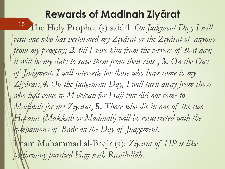### **Rewards of Madinah Ziyārat**

15 The Holy Prophet (s) said:1. On Judgment Day, I will visit one who has performed my Ziyarat or the Ziyarat of anyone *from my progeny;* **2.** *till I save him from the terrors of that day; it will be my duty to save them from their sins* ; **3.** *On the Day of Judgment, I will intercede for those who have come to my Ziyārat;* **4.** *On the Judgement Day, I will turn away from those who had come to Makkah for Hajj but did not come to Madinah for my Ziyārat*; **5.** *Those who die in one of the two Harams (Makkah or Madinah) will be resurrected with the companions of Badr on the Day of Judgement.*  Imam Muhammad al-Baqir (a): *Ziyārat of HP is like* 

performing purified Hajj with Rasūlullāh.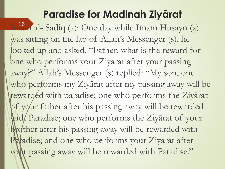### **Paradise for Madinah Ziyārat**

Imam al- Sadiq (a): One day while Imam Husayn (a) 16was sitting on the lap of Allah's Messenger (s), he looked up and asked, "Father, what is the reward for one who performs your Ziyārat after your passing away?" Allah's Messenger (s) replied: "My son, one who performs my Ziyārat after my passing away will be rewarded with paradise; one who performs the Ziyārat of your father after his passing away will be rewarded with Paradise; one who performs the Ziyarat of your brother after his passing away will be rewarded with Paradise; and one who performs your Ziyārat after your passing away will be rewarded with Paradise."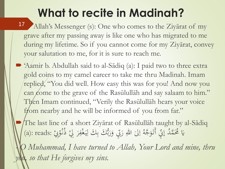# **What to recite in Madinah?**

- Allah's Messenger (s): One who comes to the Ziyārat of my grave after my passing away is like one who has migrated to me during my lifetime. So if you cannot come for my Ziyārat, convey your salutation to me, for it is sure to reach me. 17
- 'Aamir b. Abdullah said to al-Sādiq (a): I paid two to three extra gold coins to my camel career to take me thru Madinah. Imam replied, "You did well. How easy this was for you! And now you can come to the grave of the Rasūlullāh and say salaam to him." Then Imam continued, "Verily the Rasūlullāh hears your voice from nearby and he will be informed of you from far."
	- The last line of a short Ziyārat of Rasūlullāh taught by al-Sādiq نِي وَرَبُّكَ بِكَ لِيَغْفِرَ لِيْ ذُنُوْبِيْ :a): reads) َ َ ه َّب لیّ اللهِ رَ  $\zeta$  $\overline{a}$ ا ُ يَا مُحَمَّدُ إِنِّي أَتَوَجَّهُ إلىَ اللهِ رَبِّي وَرَبُّكَ بِكَ لِيَغْفِرَ لِيْ ذُنُوْبِيْ َ  $\int$  $\frac{1}{2}$ <u>لي</u> **م**ر<br>ر ْ ر<br>. .<br>م .<br>و  $\frac{1}{2}$ ڵ<br>ڵ ِ<br>ب بڑی<br>باند

*- O Muhammad, I have turned to Allah, Your Lord and mine, thru*   $\alpha$ , so that He forgives my sins.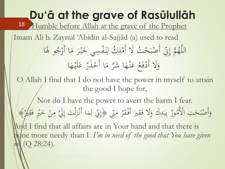**Du'ā at the grave of Rasūlullāh** Humble before Allah at the grave of the Prophet Imam Ali b. Zaynul 'Abidin al-Sajjād (a) used to read َّ م **€** اللَّهُمَّ إِنِّي أَصْبَحْتُ لَا أَمْلِكُ لِنَفْسِي خَ .<br>أ **ٔ**<br>م  $\int$  $\overline{\mathbf{r}}$ **A** <u>ة</u> تي أَصْبَحْ  $\ddot{\cdot}$ ْ ه إِنِّي أَصْبَحْتُ لَا أَمْلِكُ لِنَفْسِي خَيْرَ مَا أَرْجُو  $\sim$ يْرَ مَا أَرْجُو لَهَا ر<br>ا  $\sim$ ُل<br>ر **∕** ا ََّل و َ ر<br>ا عَنْهَا شَرَّ مَا أَحْذَرُ .<br>ا **๎**  $\lambda$ نہ<br>نہ َ  $\frac{1}{2}$ ا<br>ا  $\bigwedge$ أَدْفَعُ عَنْهَا شَرَّ مَا أَحْذَرُ عَلَيْهَا <u>ة</u><br>-ْ َ  $\ddot{\phantom{0}}$  $\frac{1}{\sqrt{2}}$ ى<br>ك  $O/$ Allah  *find that I do not have the power in myself to attain* the good I hope for, Nor do I have the power to avert the harm I fear. بأن ۰ مار<br>۱ سني<br>مني لبِكَ وَلَا فَقِيرَ أَفْقَرُ <u>ة</u>  $\overline{\phantom{a}}$  $\frac{1}{2}$ َ  $\frac{1}{2}$  $\frac{1}{2}$ .<br>با ب ُر<br>ا ور **A** تِ الْأُمُّدُ  $\overline{\phantom{0}}$ وَأَصْبَحَتِ الْأُمُورُ بِيَدِكَ وَلَا فَقِيرَ أَفْقَرُ مِنّي ﴿إِنِّي لِمَا أَنْزَلْتَ إِلَيَّ مِنْ خَيْرٍ ْ َ الم<br>ا  $\mathbf{A}$  $\int_{S}$ ڵ<br>-ل ز<br>ز ز<br>ن  $\blacklozenge$  $\overline{\mathsf{I}}$  $\sum$ ﴿ إِنِّي لِمَا أَنْزَلْتَ إِلَيَّ مِنْ خَيْرٍ فَقِلْرٌ﴾ ا<br>ع And I find that all affairs are in Your hand and that there is Ine more needy than I. I'm in need of the good that You have given *me* (Q 28:24). 18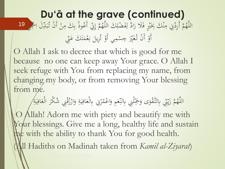#### **Du'ā at the grave (continued)** مَّ أَرِدْنِي مِنْكَ بِخَيْرٍ فَلَا رَادَّ لِفَضْلِكَ اللَّ  $\overline{1}$ <u>ل</u> َ  $\frac{1}{2}$ ْ ه<br>.<br>^  $\mathbf{A}$ ْ ُ اللَّهُمَّ أَرِدْنِي مِنْكَ بِخَيْرٍ فَلَا رَادَّ لِفَضْلِكَ اللَّهُمَّ إِنِّي أَعُوذُ بِكَ مِنْ أَنْ تُبَدِّلَ الْج י<br>אי ،<br>ب بدبد ْ ْ  $\mathbf{A}$ ِ<br>ب ب  $\int$  $\frac{1}{2}$ **€** هُمَّ إِنِّي أَعُوذُ بِكَ مِنْ أَنْ تُبَدِّلَ ا<sup>لثَّ</sup>جِي <mark>19</mark> بأن أَوْ أَنْ تُغَيِّرَ جِسْمِي أَوْ تُزِيلَ نِعْمَتَكَ عَنِّي  $\frac{1}{2}$  $\sim$ ْ .<br>ن في المراجعة<br>مراجع  $\overline{\phantom{0}}$ بر<br>ت ۠ ا<br>ا  $\overline{a}$ س<br>پر ْ **ہ**

O Allah I ask to decree that which is good for me because no one can keep away Your grace. O Allah I seek refuge with You from replacing my name, from changing my body, or from removing Your blessing from me.

**ک** يِّي بِالتَّقْوَى وَجَمَّلْنِي بِالنِّعَمِ وَاعْ َ السم<br>السم س<br>بد  $\downarrow$ ِس<br>ه َ ا<br>م ،<br>دارا س<br>ينبي<br>تركيب ه َّ ز م سا<br>مخ ز **€** اللَّهُمَّ زَيّنِّي بِالتَّقْوَى وَجَمَّلْنِي بِالنِّعَمِ وَاعْمُرْنِي بِالْعَافِيَةِ وَارْزُقْنِي شُكْرَ الْعَافِ .<br>في **گ**ر ل<br>ا ر<br>( <u>ٔ</u> ر<br>ر َ <u>بة</u>  $\frac{1}{2}$  $\frac{1}{2}$ .<br>في السم<br>السمار<br>السمار </sub>ا ر<br>|<br>| **△** مُرْنِي بِالْعَافِيَةِ وَارْزُقْنِي شُكْرَ الْعَافِيَةِ  $\frac{1}{4}$  $\frac{1}{2}$  $\frac{1}{2}$ 

O Allah! Adorn me with piety and beautify me with Your blessings. Give me a long, healthy life and sustain me with the ability to thank You for good health.

(All Hadiths on Madinah taken from *Kamil al-Ziyarat*)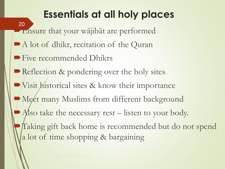### **Essentials at all holy places**

Ensure that your wājibāt are performed A lot of dhikr, recitation of the Quran **Five recommended Dhikrs** Reflection & pondering over the holy sites Visit historical sites & know their importance Meet many Muslims from different background Also take the necessary rest  $-$  listen to your body. Taking gift back home is recommended but do not spend a lot of time shopping & bargaining 20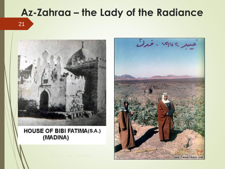### **Az-Zahraa – the Lady of the Radiance**

21



#### **HOUSE OF BIBI FATIMA(S.A.)** (MADINA)

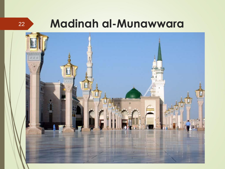## **Madinah al-Munawwara**



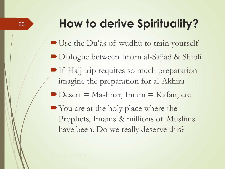# **How to derive Spirituality?**

- Use the Du'as of wudhu to train yourself
- Dialogue between Imam al-Sajjad & Shibli
- **If Hajj trip requires so much preparation** imagine the preparation for al-Akhira
- $\blacksquare$  Desert = Mashhar, Ihram = Kafan, etc
- You are at the holy place where the Prophets, Imams & millions of Muslims have been. Do we really deserve this?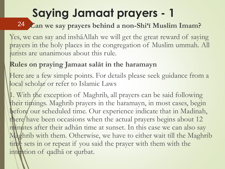# **Saying Jamaat prayers - 1**

### **Can we say prayers behind a non-Shi'ī Muslim Imam?** 24

Yes, we can say and inshāAllah we will get the great reward of saying prayers in the holy places in the congregation of Muslim ummah. All urists are unanimous about this rule.

#### **Rules on praying Jamaat salāt in the haramayn**

Here are a few simple points. For details please seek guidance from a local scholar or refer to Islamic Laws

1. With the exception of Maghrib, all prayers can be said following their timings. Maghrib prayers in the haramayn, in most cases, begin before our scheduled time. Our experience indicate that in Madinah, there have been occasions when the actual prayers begins about 12 minutes after their adhān time at sunset. In this case we can also say Maghrib with them. Otherwise, we have to either wait till the Maghrib time sets in or repeat if you said the prayer with them with the intention of qadhā or qurbat.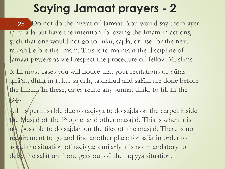# **Saying Jamaat prayers - 2**

2. 25 Do not do the niyyat of Jamaat. You would say the prayer in furada but have the intention following the Imam in actions, such that one would not go to ruku, sajda, or rise for the next rak'ah before the Imam. This is to maintain the discipline of Jamaat prayers as well respect the procedure of fellow Muslims.

3. In most cases you will notice that your recitations of sūras qirā'at, dhikr in ruku, sajdah, tashahud and salām are done before the Imam. In these, cases recite any sunnat dhikr to fill-in-thegap.

4. It is permissible due to taqiyya to do sajda on the carpet inside the Masjid of the Prophet and other masajid. This is when it is not possible to do sajdah on the tiles of the masjid. There is no requirement to go and find another place for salāt in order to avoid the situation of taqiyya; similarly it is not mandatory to delay the salat until one gets out of the taqiyya situation.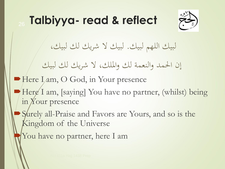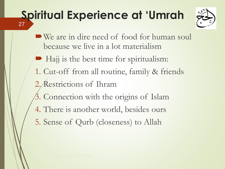### **Spiritual Experience at 'Umrah** 27



- We are in dire need of food for human soul because we live in a lot materialism
- $\blacktriangleright$  Hajj is the best time for spiritualism:
- 1. Cut-off from all routine, family & friends 2. Restrictions of Ihram
- 3. Connection with the origins of Islam
- 4. There is another world, besides ours
- 5. Sense of Qurb (closeness) to Allah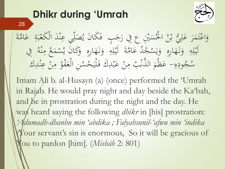### **Dhikr during 'Umrah**



28

#### $\overline{\phantom{a}}$ وَاعْتَمَرَ عَلِيٌّ بْنُ الْحُسَيْنِ  $\sim$  $\frac{1}{2}$  $\frac{1}{2}$ **ك** َ مَبِين<br>م س .<br>أ <u>ا</u>لا<br>ل <u>ئا</u> ا ्<br>। ِی ْب ب ن<br>پا عَلِيٌّ بْنُ الْحُسَيْنِ عِ فِي رَجَبٍ ۖ فَكَانَ يُصَلِّي عِنْدَ الْ  $\overline{\mathbf{r}}$ ا<br>ا َ  $\int$  $\overline{\phantom{a}}$ ْ ه<br>.<br>. س<br>|<br>|  $\frac{1}{2}$ ُ َجَبِ ۖ فَكَانَ يُصَلِّي عِنْدَ الْكَعْبَةِ ۚ عَامَّةَ  $\ddot{\zeta}$  $\overline{a}$  $\boldsymbol{\zeta}$ ان<br>ا ى<br>ك **الم**  $\ddot{\cdot}$  $\frac{1}{2}$ ْ **ابر**<br>ب  $\frac{1}{2}$ <u>ل</u><br>. ل ان<br>ا لُّہُ عَامَّةَ<br>م ا<br>ا  $\sum_{i=1}^n$ لِهِ وَنَهَارِهِ وَيَسْجُ ْ ِ<br>با<br>ر ا کانی ہ<br>پ َ ز<br>ا َ 4  $\overline{\mathbf{r}}$  $\frac{1}{2}$  $\frac{1}{2}$ <u>ل</u>' ل **C** م مؤتمر  $\sum_{i=1}^{n}$ **م** ل<br>د لِهِ وَنَهَارِهِ وَكَانَ يُسْمَعُ مِنْهُ فِي نی<br>ح <u>و</u>  $\frac{1}{2}$ ز<br>. َ ~<br>|<br>|  $\overline{\mathbf{r}}$ ُ ە ۋە<br>منە  $\ddot{\phantom{a}}$ ه<br>.<br>^ ِ<br>م <u></u> ه ود  $\overline{1}$  $\mathcal{L}$ ج ا<br>ا سُجُودِهِ– عَظَمَ م<br>ا المعامل المستقبل المستقبل المستقبل المستقبل المستقبل المستقبل المستقبل المستقبل المستقبل المستقبل ا<br>والمستقبل المستقبل المستقبل المستقبل المستقبل المستقبل المستقبل المستقبل المستقبل المستقبل المستقبل المستقبل ا الذَّنْبُ مِنْ عَبْدِكَ فَلْيَحْسُنِ الْعَفْوُ مِنْ عِ ز<br>ل ا<br>المسابق<br>المسابق<br>المسابق<br>المسابق<br>المسابق ْ  $\ddot{\cdot}$ ا<br>ا <u>ہ</u>  $\ddot{\phantom{1}}$ ه<br>.<br>. ْ <u>a</u> ہ<br>ر نِ الْعَفْوُ **م**<br>م الم<br>ا ل<br>ا **∕** يَحْسُنِ الْعَفْوُ مِنْ عِنْدِكَ **๎**  $\frac{1}{2}$

Imam Ali b. al-Husayn (a) (once) performed the 'Umrah in Rajab. He would pray night and day beside the Ka'bah, and be in prostration during the night and the day. He was heard saying the following *dhikr* in [his] prostration: *'Adumadh-dhanbu min 'abdika ; Falyahsunil-'afwu min 'indika (*Your servant's sin is enormous, So it will be gracious of You to pardon [him]. (*Misbāh* 2: 801)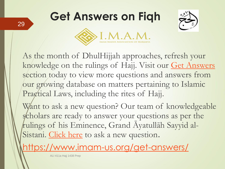# **Get Answers on Fiqh**





As the month of DhulHijjah approaches, refresh your knowledge on the rulings of Hajj. Visit our [Get Answers](https://connect.imam-us.org/acton/ct/26493/s-004e-1707/Bct/l-0a8c/l-0a8c:a13f/ct2_0/1?sid=TV2%3AZrvcWCaNc) section today to view more questions and answers from our growing database on matters pertaining to Islamic Pragtical Laws, including the rites of Hajj.

Want to ask a new question? Our team of knowledgeable scholars are ready to answer your questions as per the rulings of his Eminence, Grand Āyatullāh Sayyid al-Sistani. [Click here](https://connect.imam-us.org/acton/ct/26493/s-004e-1707/Bct/l-0a8c/l-0a8c:a13f/ct3_0/1?sid=TV2%3AZrvcWCaNc) to ask a new question.

<https://www.imam-us.org/get-answers/>

ALI 411a Hajj 1438 Prep

29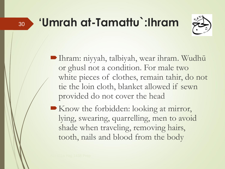# **'Umrah at-Tamattu`:Ihram**



Ihram: niyyah, talbiyah, wear ihram. Wudhū or ghusl not a condition. For male two white pieces of clothes, remain tahir, do not tie the loin cloth, blanket allowed if sewn provided do not cover the head

Know the forbidden: looking at mirror, lying, swearing, quarrelling, men to avoid shade when traveling, removing hairs, tooth, nails and blood from the body

30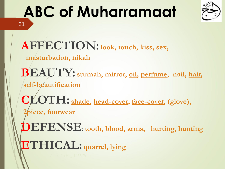### **ABC of Muharramaat** 31



**AFFECTION:look, touch, kiss, sex,** 

**masturbation, nikah**

**BEAUTY: surmah, mirror, oil, perfume, nail, hair, self-beautification**

**CLOTH: shade, head-cover, face-cover, (glove), 2piece, footwear**

**DEFENSE: tooth, blood, arms, hurting, hunting ETHICAL: quarrel, lying**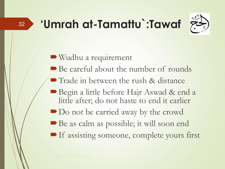# **'Umrah at-Tamattu`:Tawaf**



Wudhu a requirement

- Be careful about the number of rounds
- Trade in between the rush & distance
- Begin a little before Hajr Aswad & end a little after; do not haste to end it earlier

Do not be carried away by the crowd

- Be as calm as possible; it will soon end
- **If assisting someone, complete yours first**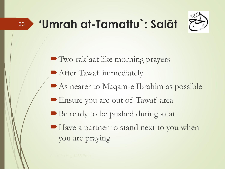# **'Umrah at-Tamattu`: Salāt**



■ Two rak`aat like morning prayers **After Tawaf immediately** As nearer to Maqam-e Ibrahim as possible Ensure you are out of Tawaf area ■ Be ready to be pushed during salat ■ Have a partner to stand next to you when you are praying

33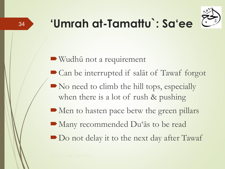

Wudhū not a requirement

- Can be interrupted if salāt of Tawaf forgot
- No need to climb the hill tops, especially when there is a lot of rush & pushing
- Men to hasten pace betw the green pillars
- Many recommended Du'ās to be read
- Do not delay it to the next day after Tawaf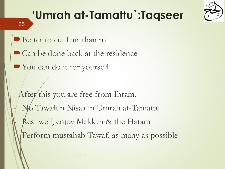



35

■ Better to cut hair than nail

• Can be done back at the residence

Nou can do it for yourself

After this you are free from Ihram. No Tawafun Nisaa in Umrah at-Tamattu Rest well, enjoy Makkah & the Haram Perform mustahab Tawaf, as many as possible